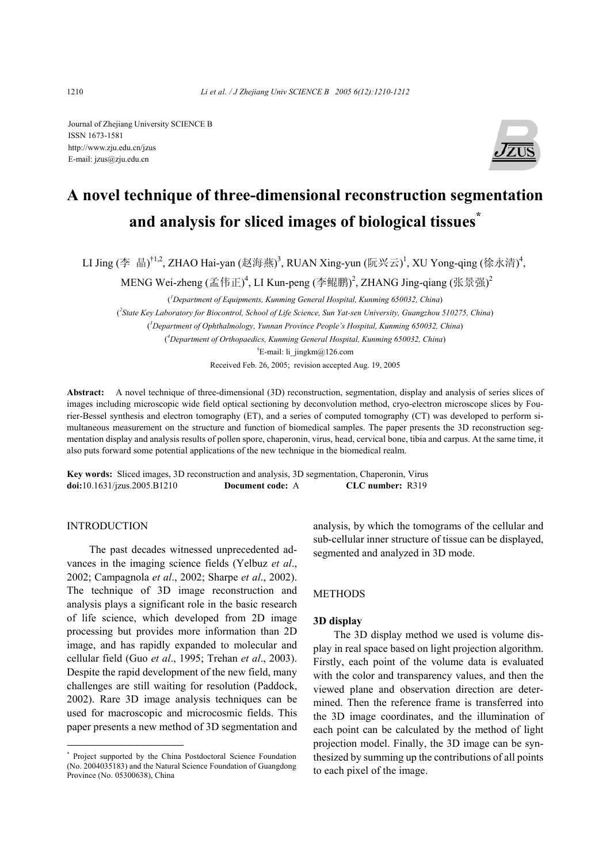Journal of Zhejiang University SCIENCE B ISSN 1673-1581 http://www.zju.edu.cn/jzus E-mail: jzus@zju.edu.cn



# **A novel technique of three-dimensional reconstruction segmentation and analysis for sliced images of biological tissues\***

LI Jing (李 晶)<sup>†1,2</sup>, ZHAO Hai-yan (赵海燕)<sup>3</sup>, RUAN Xing-yun (阮兴云)<sup>1</sup>, XU Yong-qing (徐永清)<sup>4</sup>,

MENG Wei-zheng (孟伟正)<sup>4</sup>, LI Kun-peng (李鲲鹏)<sup>2</sup>, ZHANG Jing-qiang (张景强)<sup>2</sup>

( *1 Department of Equipments, Kunming General Hospital, Kunming 650032, China*) ( *2 State Key Laboratory for Biocontrol, School of Life Science, Sun Yat-sen University, Guangzhou 510275, China*) ( *3 Department of Ophthalmology, Yunnan Province People's Hospital, Kunming 650032, China*) ( *4 Department of Orthopaedics, Kunming General Hospital, Kunming 650032, China*) <sup>†</sup>E-mail: li\_jingkm@126.com

Received Feb. 26, 2005; revision accepted Aug. 19, 2005

**Abstract:** A novel technique of three-dimensional (3D) reconstruction, segmentation, display and analysis of series slices of images including microscopic wide field optical sectioning by deconvolution method, cryo-electron microscope slices by Fourier-Bessel synthesis and electron tomography (ET), and a series of computed tomography (CT) was developed to perform simultaneous measurement on the structure and function of biomedical samples. The paper presents the 3D reconstruction segmentation display and analysis results of pollen spore, chaperonin, virus, head, cervical bone, tibia and carpus. At the same time, it also puts forward some potential applications of the new technique in the biomedical realm.

**Key words:** Sliced images, 3D reconstruction and analysis, 3D segmentation, Chaperonin, Virus **doi:**10.1631/jzus.2005.B1210 **Document code:** A **CLC number:** R319

## INTRODUCTION

The past decades witnessed unprecedented advances in the imaging science fields (Yelbuz *et al*., 2002; Campagnola *et al*., 2002; Sharpe *et al*., 2002). The technique of 3D image reconstruction and analysis plays a significant role in the basic research of life science, which developed from 2D image processing but provides more information than 2D image, and has rapidly expanded to molecular and cellular field (Guo *et al*., 1995; Trehan *et al*., 2003). Despite the rapid development of the new field, many challenges are still waiting for resolution (Paddock, 2002). Rare 3D image analysis techniques can be used for macroscopic and microcosmic fields. This paper presents a new method of 3D segmentation and analysis, by which the tomograms of the cellular and sub-cellular inner structure of tissue can be displayed, segmented and analyzed in 3D mode.

## **METHODS**

## **3D display**

The 3D display method we used is volume display in real space based on light projection algorithm. Firstly, each point of the volume data is evaluated with the color and transparency values, and then the viewed plane and observation direction are determined. Then the reference frame is transferred into the 3D image coordinates, and the illumination of each point can be calculated by the method of light projection model. Finally, the 3D image can be synthesized by summing up the contributions of all points to each pixel of the image.

<sup>\*</sup> Project supported by the China Postdoctoral Science Foundation (No. 2004035183) and the Natural Science Foundation of Guangdong Province (No. 05300638), China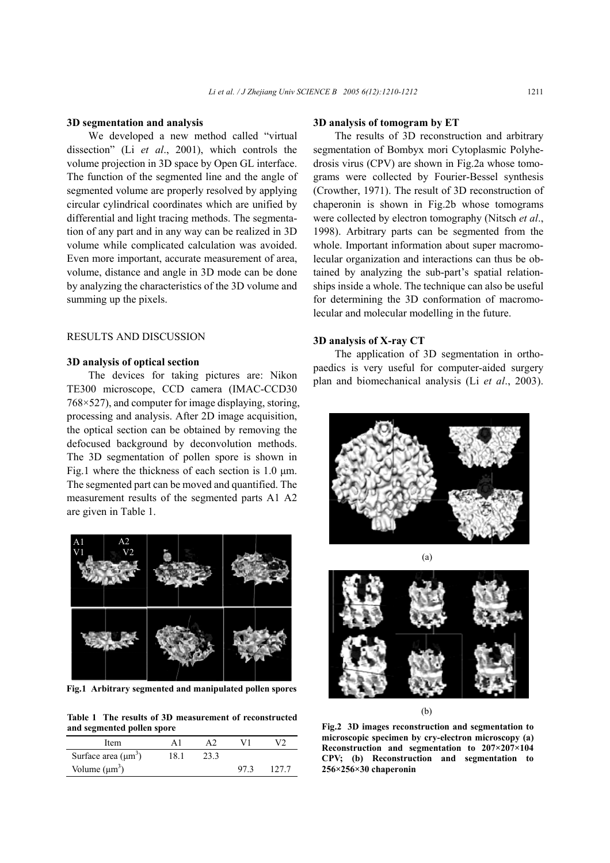### **3D segmentation and analysis**

We developed a new method called "virtual dissection" (Li *et al*., 2001), which controls the volume projection in 3D space by Open GL interface. The function of the segmented line and the angle of segmented volume are properly resolved by applying circular cylindrical coordinates which are unified by differential and light tracing methods. The segmentation of any part and in any way can be realized in 3D volume while complicated calculation was avoided. Even more important, accurate measurement of area, volume, distance and angle in 3D mode can be done by analyzing the characteristics of the 3D volume and summing up the pixels.

# RESULTS AND DISCUSSION

#### **3D analysis of optical section**

The devices for taking pictures are: Nikon TE300 microscope, CCD camera (IMAC-CCD30 768×527), and computer for image displaying, storing, processing and analysis. After 2D image acquisition, the optical section can be obtained by removing the defocused background by deconvolution methods. The 3D segmentation of pollen spore is shown in Fig.1 where the thickness of each section is 1.0  $\mu$ m. The segmented part can be moved and quantified. The measurement results of the segmented parts A1 A2 are given in Table 1.



**Fig.1 Arbitrary segmented and manipulated pollen spores**

**Table 1 The results of 3D measurement of reconstructed and segmented pollen spore** 

| Item                     |      |     |        |
|--------------------------|------|-----|--------|
| Surface area $(\mu m^3)$ | 18.1 |     |        |
| Volume $(\mu m^3)$       |      | 973 | 12.7.7 |

## **3D analysis of tomogram by ET**

The results of 3D reconstruction and arbitrary segmentation of Bombyx mori Cytoplasmic Polyhedrosis virus (CPV) are shown in Fig.2a whose tomograms were collected by Fourier-Bessel synthesis (Crowther, 1971). The result of 3D reconstruction of chaperonin is shown in Fig.2b whose tomograms were collected by electron tomography (Nitsch *et al*., 1998). Arbitrary parts can be segmented from the whole. Important information about super macromolecular organization and interactions can thus be obtained by analyzing the sub-part's spatial relationships inside a whole. The technique can also be useful for determining the 3D conformation of macromolecular and molecular modelling in the future.

## **3D analysis of X-ray CT**

The application of 3D segmentation in orthopaedics is very useful for computer-aided surgery plan and biomechanical analysis (Li *et al*., 2003).





(b)

**Fig.2 3D images reconstruction and segmentation to microscopic specimen by cry-electron microscopy (a) Reconstruction and segmentation to 207×207×104 CPV; (b) Reconstruction and segmentation to 256×256×30 chaperonin**